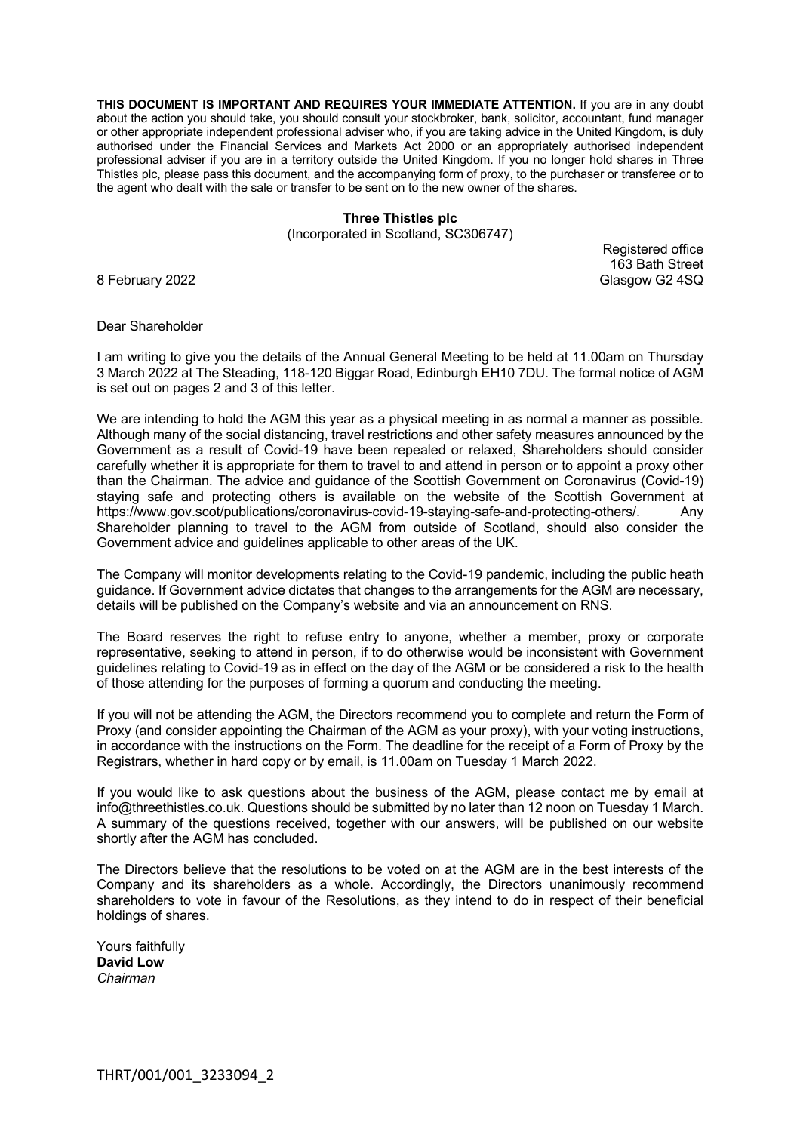**THIS DOCUMENT IS IMPORTANT AND REQUIRES YOUR IMMEDIATE ATTENTION.** If you are in any doubt about the action you should take, you should consult your stockbroker, bank, solicitor, accountant, fund manager or other appropriate independent professional adviser who, if you are taking advice in the United Kingdom, is duly authorised under the Financial Services and Markets Act 2000 or an appropriately authorised independent professional adviser if you are in a territory outside the United Kingdom. If you no longer hold shares in Three Thistles plc, please pass this document, and the accompanying form of proxy, to the purchaser or transferee or to the agent who dealt with the sale or transfer to be sent on to the new owner of the shares.

# **Three Thistles plc**

(Incorporated in Scotland, SC306747)

Registered office 163 Bath Street 8 February 2022 Glasgow G2 4SQ

### Dear Shareholder

I am writing to give you the details of the Annual General Meeting to be held at 11.00am on Thursday 3 March 2022 at The Steading, 118-120 Biggar Road, Edinburgh EH10 7DU. The formal notice of AGM is set out on pages 2 and 3 of this letter.

We are intending to hold the AGM this year as a physical meeting in as normal a manner as possible. Although many of the social distancing, travel restrictions and other safety measures announced by the Government as a result of Covid-19 have been repealed or relaxed, Shareholders should consider carefully whether it is appropriate for them to travel to and attend in person or to appoint a proxy other than the Chairman. The advice and guidance of the Scottish Government on Coronavirus (Covid-19) staying safe and protecting others is available on the website of the Scottish Government at https://www.gov.scot/publications/coronavirus-covid-19-staying-safe-and-protecting-others/. Any Shareholder planning to travel to the AGM from outside of Scotland, should also consider the Government advice and guidelines applicable to other areas of the UK.

The Company will monitor developments relating to the Covid-19 pandemic, including the public heath guidance. If Government advice dictates that changes to the arrangements for the AGM are necessary, details will be published on the Company's website and via an announcement on RNS.

The Board reserves the right to refuse entry to anyone, whether a member, proxy or corporate representative, seeking to attend in person, if to do otherwise would be inconsistent with Government guidelines relating to Covid-19 as in effect on the day of the AGM or be considered a risk to the health of those attending for the purposes of forming a quorum and conducting the meeting.

If you will not be attending the AGM, the Directors recommend you to complete and return the Form of Proxy (and consider appointing the Chairman of the AGM as your proxy), with your voting instructions, in accordance with the instructions on the Form. The deadline for the receipt of a Form of Proxy by the Registrars, whether in hard copy or by email, is 11.00am on Tuesday 1 March 2022.

If you would like to ask questions about the business of the AGM, please contact me by email at info@threethistles.co.uk. Questions should be submitted by no later than 12 noon on Tuesday 1 March. A summary of the questions received, together with our answers, will be published on our website shortly after the AGM has concluded.

The Directors believe that the resolutions to be voted on at the AGM are in the best interests of the Company and its shareholders as a whole. Accordingly, the Directors unanimously recommend shareholders to vote in favour of the Resolutions, as they intend to do in respect of their beneficial holdings of shares.

Yours faithfully **David Low** *Chairman*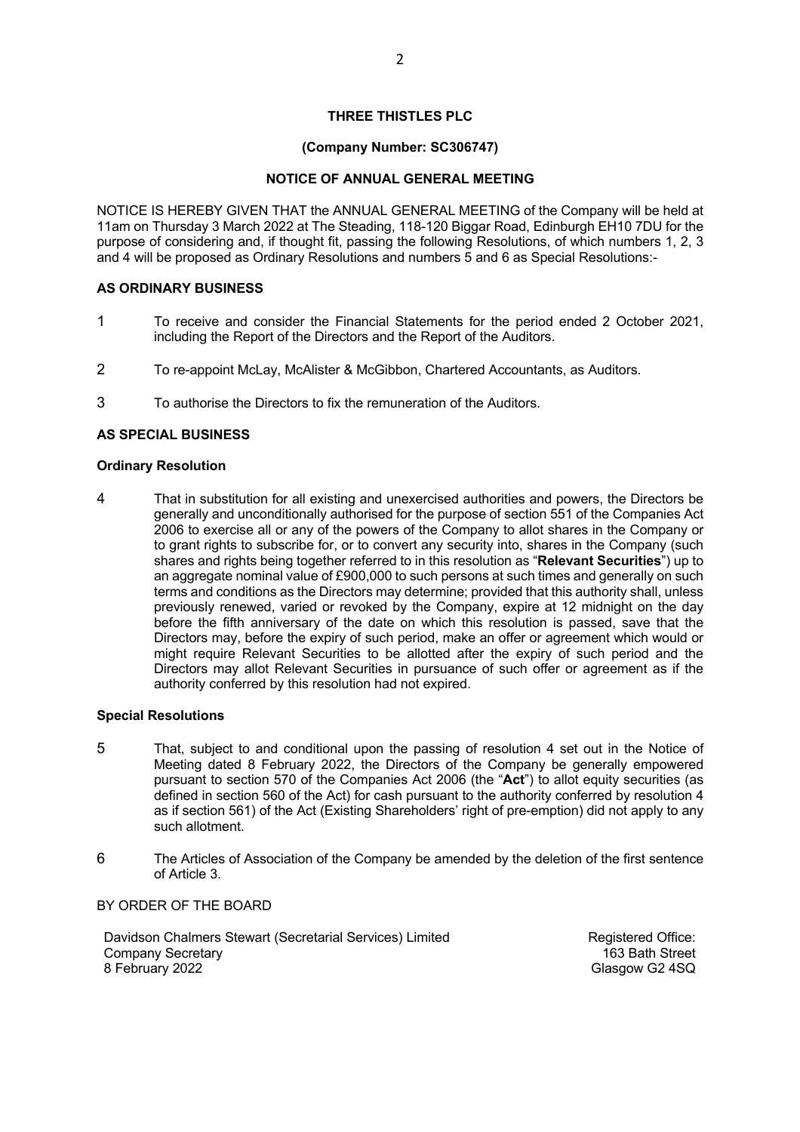## **THREE THISTLES PLC**

## **(Company Number: SC306747)**

## **NOTICE OF ANNUAL GENERAL MEETING**

NOTICE IS HEREBY GIVEN THAT the ANNUAL GENERAL MEETING of the Company will be held at 11am on Thursday 3 March 2022 at The Steading, 118-120 Biggar Road, Edinburgh EH10 7DU for the purpose of considering and, if thought fit, passing the following Resolutions, of which numbers 1, 2, 3 and 4 will be proposed as Ordinary Resolutions and numbers 5 and 6 as Special Resolutions:-

## **AS ORDINARY BUSINESS**

- 1 To receive and consider the Financial Statements for the period ended 2 October 2021, including the Report of the Directors and the Report of the Auditors.
- 2 To re-appoint McLay, McAlister & McGibbon, Chartered Accountants, as Auditors.
- 3 To authorise the Directors to fix the remuneration of the Auditors.

# **AS SPECIAL BUSINESS**

## **Ordinary Resolution**

4 That in substitution for all existing and unexercised authorities and powers, the Directors be generally and unconditionally authorised for the purpose of section 551 of the Companies Act 2006 to exercise all or any of the powers of the Company to allot shares in the Company or to grant rights to subscribe for, or to convert any security into, shares in the Company (such shares and rights being together referred to in this resolution as "**Relevant Securities**") up to an aggregate nominal value of £900,000 to such persons at such times and generally on such terms and conditions as the Directors may determine; provided that this authority shall, unless previously renewed, varied or revoked by the Company, expire at 12 midnight on the day before the fifth anniversary of the date on which this resolution is passed, save that the Directors may, before the expiry of such period, make an offer or agreement which would or might require Relevant Securities to be allotted after the expiry of such period and the Directors may allot Relevant Securities in pursuance of such offer or agreement as if the authority conferred by this resolution had not expired.

### **Special Resolutions**

- 5 That, subject to and conditional upon the passing of resolution 4 set out in the Notice of Meeting dated 8 February 2022, the Directors of the Company be generally empowered pursuant to section 570 of the Companies Act 2006 (the "**Act**") to allot equity securities (as defined in section 560 of the Act) for cash pursuant to the authority conferred by resolution 4 as if section 561) of the Act (Existing Shareholders' right of pre-emption) did not apply to any such allotment.
- 6 The Articles of Association of the Company be amended by the deletion of the first sentence of Article 3.

BY ORDER OF THE BOARD

Davidson Chalmers Stewart (Secretarial Services) Limited Company Secretary 8 February 2022

Registered Office: 163 Bath Street Glasgow G2 4SQ